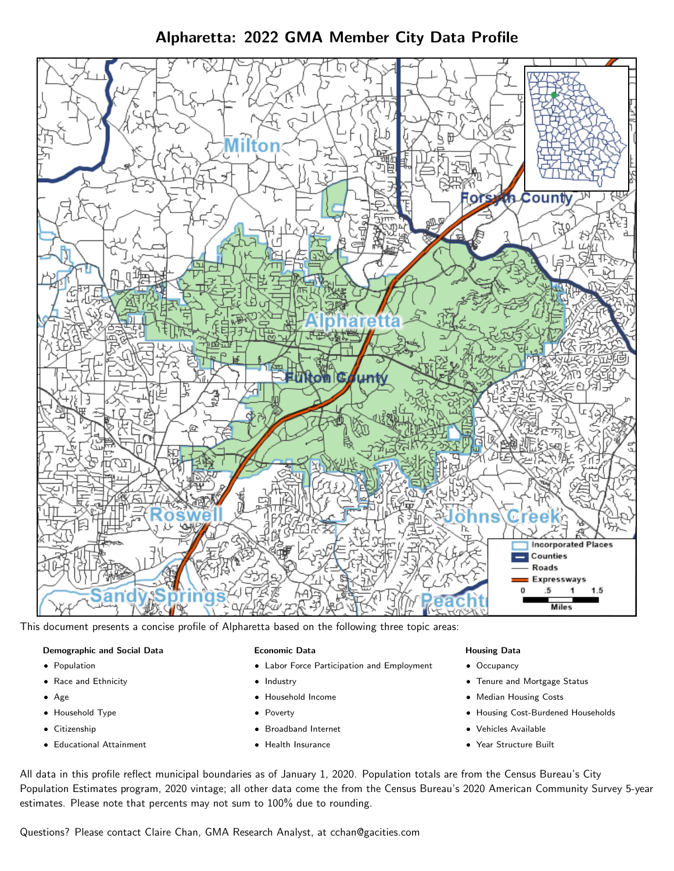Alpharetta: 2022 GMA Member City Data Profile



This document presents a concise profile of Alpharetta based on the following three topic areas:

#### Demographic and Social Data

- **•** Population
- Race and Ethnicity
- Age
- Household Type
- **Citizenship**
- Educational Attainment

#### Economic Data

- Labor Force Participation and Employment
- Industry
- Household Income
- Poverty
- Broadband Internet
- Health Insurance

#### Housing Data

- Occupancy
- Tenure and Mortgage Status
- Median Housing Costs
- Housing Cost-Burdened Households
- Vehicles Available
- Year Structure Built

All data in this profile reflect municipal boundaries as of January 1, 2020. Population totals are from the Census Bureau's City Population Estimates program, 2020 vintage; all other data come the from the Census Bureau's 2020 American Community Survey 5-year estimates. Please note that percents may not sum to 100% due to rounding.

Questions? Please contact Claire Chan, GMA Research Analyst, at [cchan@gacities.com.](mailto:cchan@gacities.com)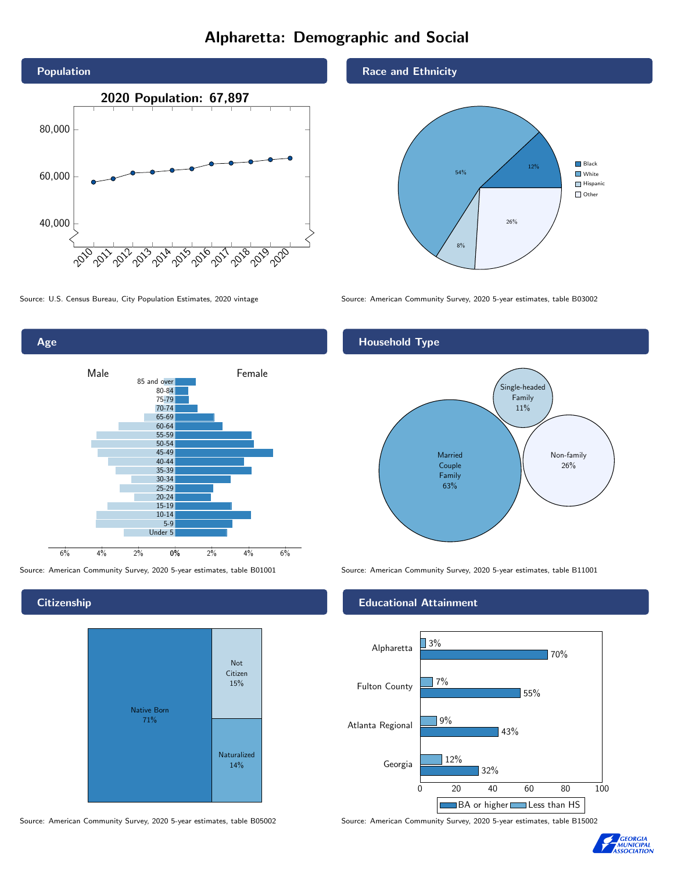# Alpharetta: Demographic and Social





**Citizenship** 



Source: American Community Survey, 2020 5-year estimates, table B05002 Source: American Community Survey, 2020 5-year estimates, table B15002

Race and Ethnicity



Source: U.S. Census Bureau, City Population Estimates, 2020 vintage Source: American Community Survey, 2020 5-year estimates, table B03002

## Household Type



Source: American Community Survey, 2020 5-year estimates, table B01001 Source: American Community Survey, 2020 5-year estimates, table B11001

#### Educational Attainment



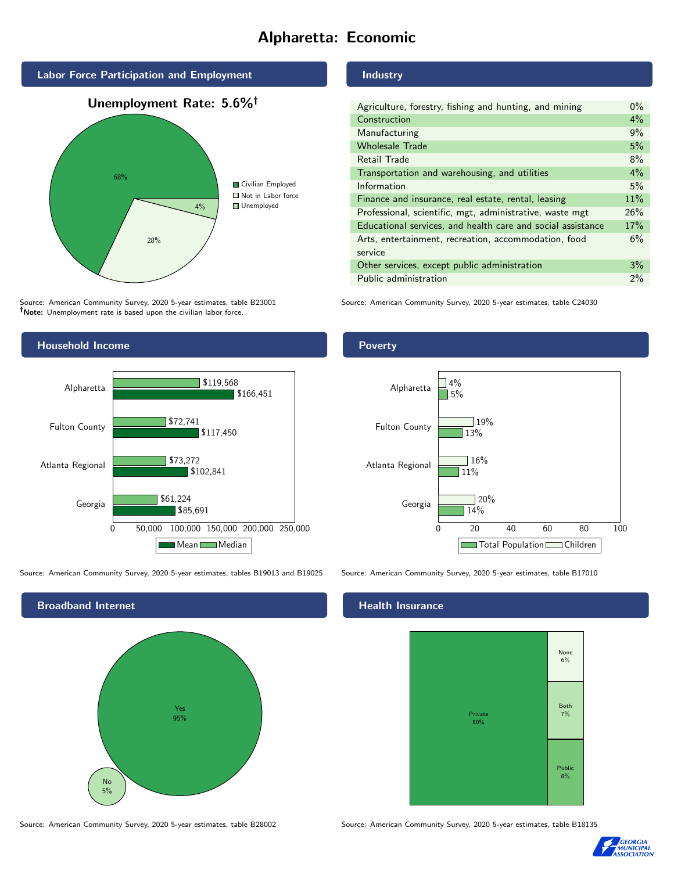# Alpharetta: Economic



Source: American Community Survey, 2020 5-year estimates, table B23001 Note: Unemployment rate is based upon the civilian labor force.



Source: American Community Survey, 2020 5-year estimates, tables B19013 and B19025 Source: American Community Survey, 2020 5-year estimates, table B17010



Source: American Community Survey, 2020 5-year estimates, table B28002 Source: American Community Survey, 2020 5-year estimates, table B18135

## Industry

| Agriculture, forestry, fishing and hunting, and mining      | $0\%$ |
|-------------------------------------------------------------|-------|
| Construction                                                | $4\%$ |
| Manufacturing                                               | 9%    |
| <b>Wholesale Trade</b>                                      | 5%    |
| Retail Trade                                                | 8%    |
| Transportation and warehousing, and utilities               | $4\%$ |
| Information                                                 | 5%    |
| Finance and insurance, real estate, rental, leasing         | 11%   |
| Professional, scientific, mgt, administrative, waste mgt    | 26%   |
| Educational services, and health care and social assistance | 17%   |
| Arts, entertainment, recreation, accommodation, food        | 6%    |
| service                                                     |       |
| Other services, except public administration                | 3%    |
| Public administration                                       | 2%    |

Source: American Community Survey, 2020 5-year estimates, table C24030

#### Poverty



#### Health Insurance